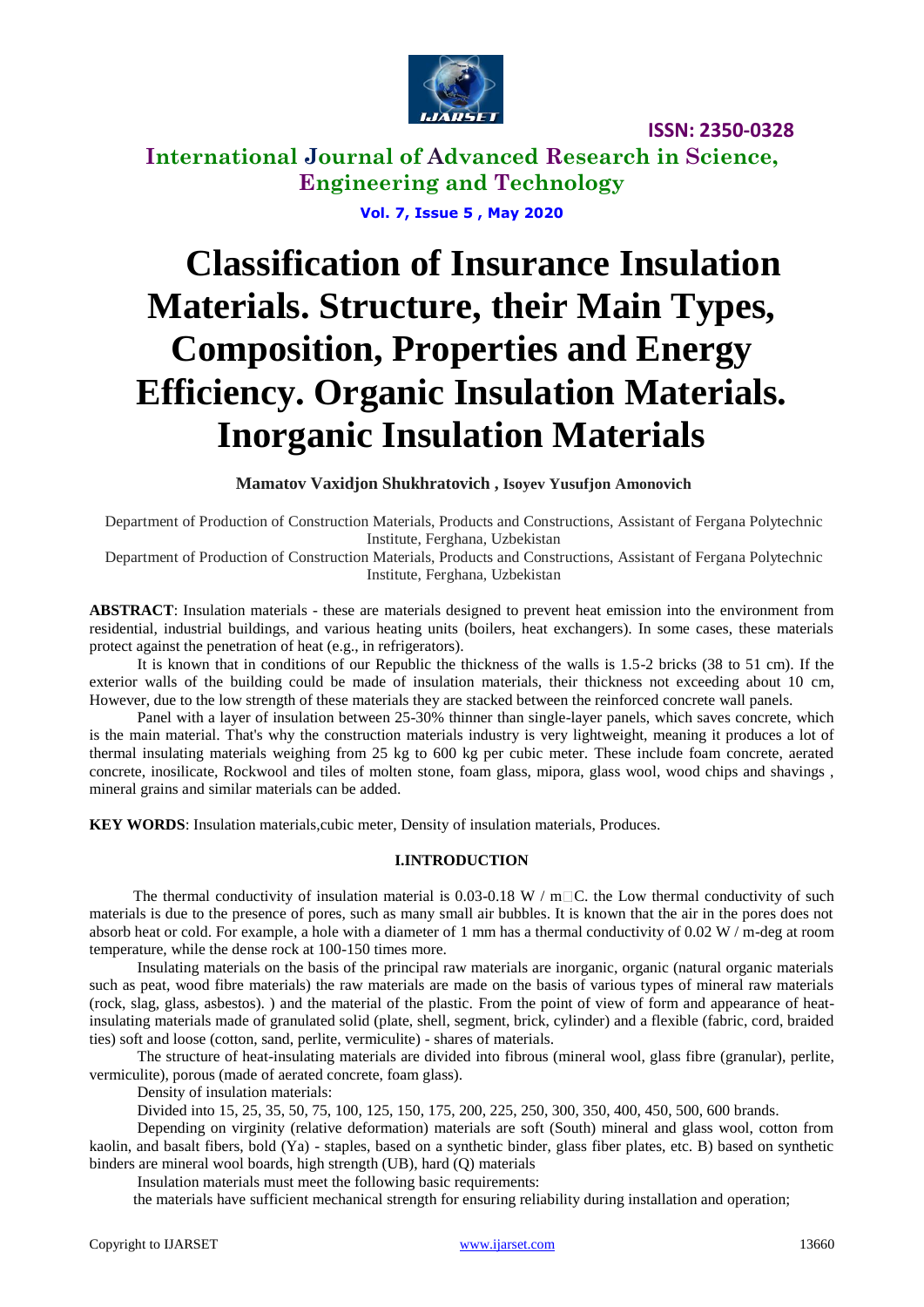

**ISSN: 2350-0328**

**International Journal of Advanced Research in Science, Engineering and Technology**

**Vol. 7, Issue 5 , May 2020**

# **Classification of Insurance Insulation Materials. Structure, their Main Types, Composition, Properties and Energy Efficiency. Organic Insulation Materials. Inorganic Insulation Materials**

**Mamatov Vaxidjon Shukhratovich , Isoyev Yusufjon Amonovich**

Department of Production of Construction Materials, Products and Constructions, Assistant of Fergana Polytechnic Institute, Ferghana, Uzbekistan

Department of Production of Construction Materials, Products and Constructions, Assistant of Fergana Polytechnic Institute, Ferghana, Uzbekistan

**ABSTRACT**: Insulation materials - these are materials designed to prevent heat emission into the environment from residential, industrial buildings, and various heating units (boilers, heat exchangers). In some cases, these materials protect against the penetration of heat (e.g., in refrigerators).

It is known that in conditions of our Republic the thickness of the walls is 1.5-2 bricks (38 to 51 cm). If the exterior walls of the building could be made of insulation materials, their thickness not exceeding about 10 cm, However, due to the low strength of these materials they are stacked between the reinforced concrete wall panels.

Panel with a layer of insulation between 25-30% thinner than single-layer panels, which saves concrete, which is the main material. That's why the construction materials industry is very lightweight, meaning it produces a lot of thermal insulating materials weighing from 25 kg to 600 kg per cubic meter. These include foam concrete, aerated concrete, inosilicate, Rockwool and tiles of molten stone, foam glass, mipora, glass wool, wood chips and shavings , mineral grains and similar materials can be added.

**KEY WORDS**: Insulation materials,cubic meter, Density of insulation materials, Produces.

#### **I.INTRODUCTION**

The thermal conductivity of insulation material is 0.03-0.18 W /  $m\Box C$ . the Low thermal conductivity of such materials is due to the presence of pores, such as many small air bubbles. It is known that the air in the pores does not absorb heat or cold. For example, a hole with a diameter of 1 mm has a thermal conductivity of  $0.02 \text{ W/m-deg at room}$ temperature, while the dense rock at 100-150 times more.

Insulating materials on the basis of the principal raw materials are inorganic, organic (natural organic materials such as peat, wood fibre materials) the raw materials are made on the basis of various types of mineral raw materials (rock, slag, glass, asbestos). ) and the material of the plastic. From the point of view of form and appearance of heatinsulating materials made of granulated solid (plate, shell, segment, brick, cylinder) and a flexible (fabric, cord, braided ties) soft and loose (cotton, sand, perlite, vermiculite) - shares of materials.

The structure of heat-insulating materials are divided into fibrous (mineral wool, glass fibre (granular), perlite, vermiculite), porous (made of aerated concrete, foam glass).

Density of insulation materials:

Divided into 15, 25, 35, 50, 75, 100, 125, 150, 175, 200, 225, 250, 300, 350, 400, 450, 500, 600 brands.

Depending on virginity (relative deformation) materials are soft (South) mineral and glass wool, cotton from kaolin, and basalt fibers, bold (Ya) - staples, based on a synthetic binder, glass fiber plates, etc. B) based on synthetic binders are mineral wool boards, high strength (UB), hard (Q) materials

Insulation materials must meet the following basic requirements:

the materials have sufficient mechanical strength for ensuring reliability during installation and operation;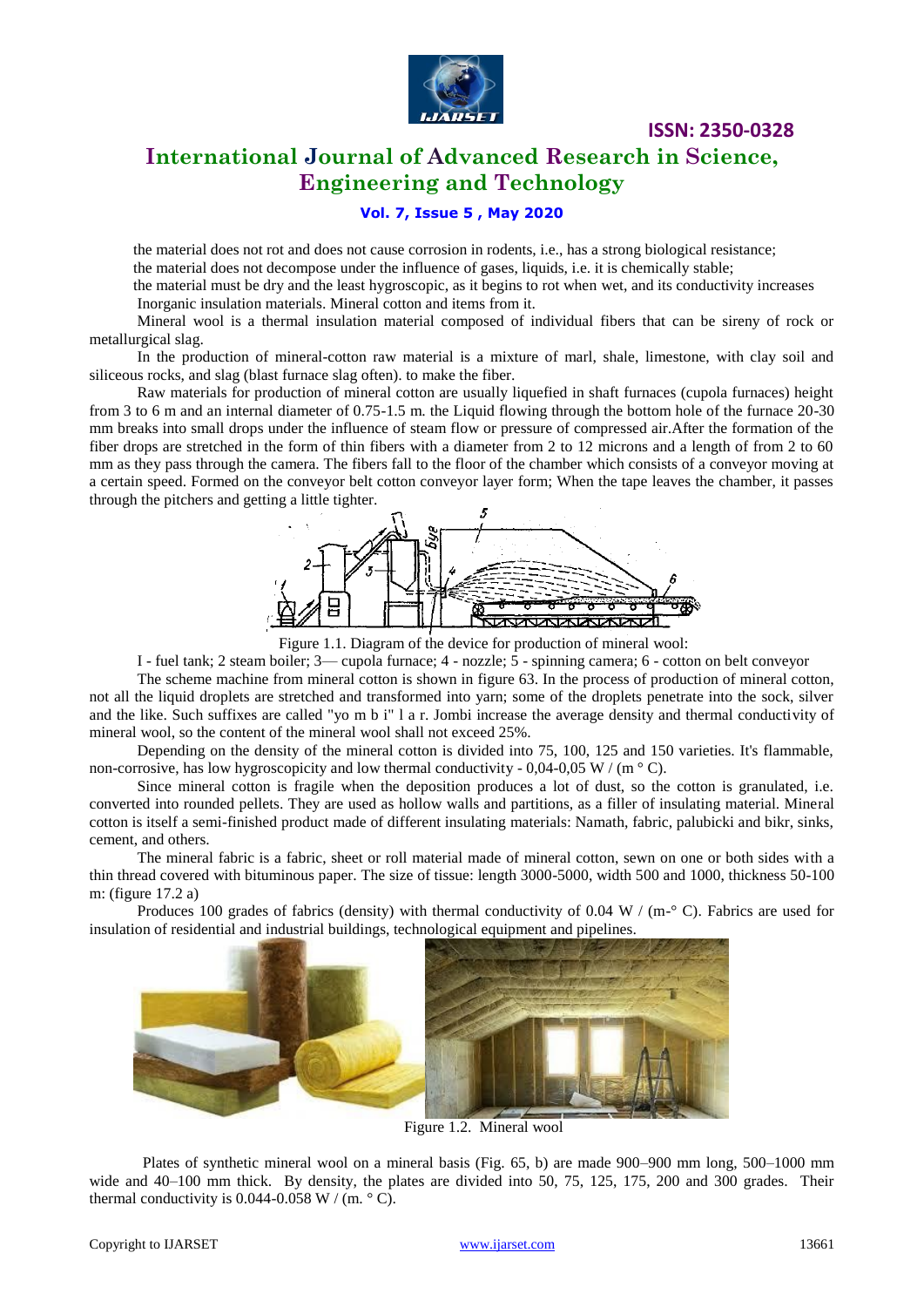

**ISSN: 2350-0328**

## **International Journal of Advanced Research in Science, Engineering and Technology**

### **Vol. 7, Issue 5 , May 2020**

the material does not rot and does not cause corrosion in rodents, i.e., has a strong biological resistance; the material does not decompose under the influence of gases, liquids, i.e. it is chemically stable;

the material must be dry and the least hygroscopic, as it begins to rot when wet, and its conductivity increases Inorganic insulation materials. Mineral cotton and items from it.

Mineral wool is a thermal insulation material composed of individual fibers that can be sireny of rock or metallurgical slag.

In the production of mineral-cotton raw material is a mixture of marl, shale, limestone, with clay soil and siliceous rocks, and slag (blast furnace slag often). to make the fiber.

Raw materials for production of mineral cotton are usually liquefied in shaft furnaces (cupola furnaces) height from 3 to 6 m and an internal diameter of 0.75-1.5 m. the Liquid flowing through the bottom hole of the furnace 20-30 mm breaks into small drops under the influence of steam flow or pressure of compressed air.After the formation of the fiber drops are stretched in the form of thin fibers with a diameter from 2 to 12 microns and a length of from 2 to 60 mm as they pass through the camera. The fibers fall to the floor of the chamber which consists of a conveyor moving at a certain speed. Formed on the conveyor belt cotton conveyor layer form; When the tape leaves the chamber, it passes through the pitchers and getting a little tighter.



Figure 1.1. Diagram of the device for production of mineral wool:

I - fuel tank; 2 steam boiler; 3— cupola furnace; 4 - nozzle; 5 - spinning camera; 6 - cotton on belt conveyor

The scheme machine from mineral cotton is shown in figure 63. In the process of production of mineral cotton, not all the liquid droplets are stretched and transformed into yarn; some of the droplets penetrate into the sock, silver and the like. Such suffixes are called "yo m b i" l a r. Jombi increase the average density and thermal conductivity of mineral wool, so the content of the mineral wool shall not exceed 25%.

Depending on the density of the mineral cotton is divided into 75, 100, 125 and 150 varieties. It's flammable, non-corrosive, has low hygroscopicity and low thermal conductivity - 0,04-0,05 W / (m  $\degree$  C).

Since mineral cotton is fragile when the deposition produces a lot of dust, so the cotton is granulated, i.e. converted into rounded pellets. They are used as hollow walls and partitions, as a filler of insulating material. Mineral cotton is itself a semi-finished product made of different insulating materials: Namath, fabric, palubicki and bikr, sinks, cement, and others.

The mineral fabric is a fabric, sheet or roll material made of mineral cotton, sewn on one or both sides with a thin thread covered with bituminous paper. The size of tissue: length 3000-5000, width 500 and 1000, thickness 50-100 m: (figure 17.2 a)

Produces 100 grades of fabrics (density) with thermal conductivity of 0.04 W / (m<sup>- $\circ$ </sup> C). Fabrics are used for insulation of residential and industrial buildings, technological equipment and pipelines.



Figure 1.2. Mineral wool

Plates of synthetic mineral wool on a mineral basis (Fig. 65, b) are made 900–900 mm long, 500–1000 mm wide and 40–100 mm thick. By density, the plates are divided into 50, 75, 125, 175, 200 and 300 grades. Their thermal conductivity is  $0.044 - 0.058$  W / (m.  $\degree$  C).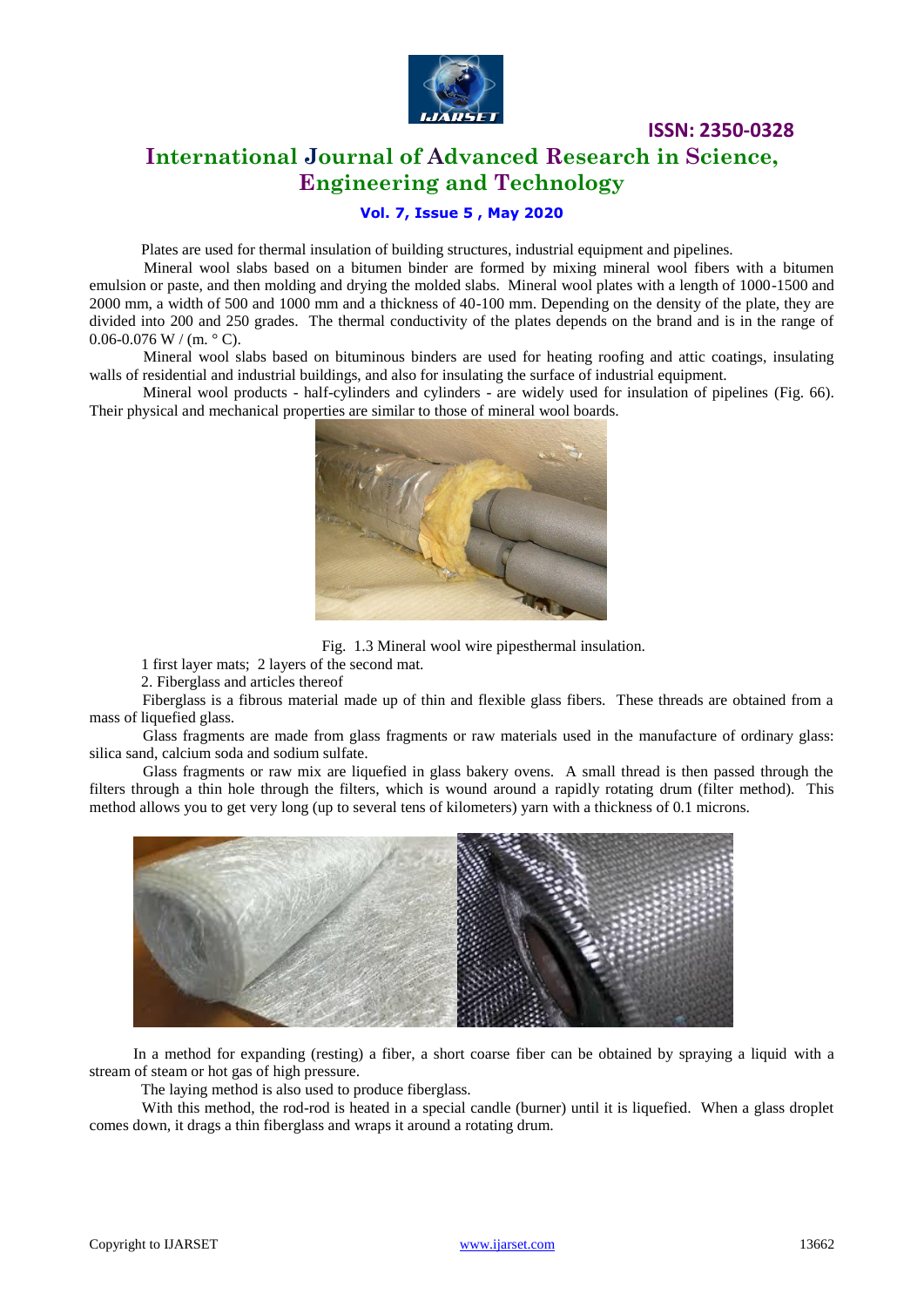

## **International Journal of Advanced Research in Science, Engineering and Technology**

**ISSN: 2350-0328**

## **Vol. 7, Issue 5 , May 2020**

Plates are used for thermal insulation of building structures, industrial equipment and pipelines.

Mineral wool slabs based on a bitumen binder are formed by mixing mineral wool fibers with a bitumen emulsion or paste, and then molding and drying the molded slabs. Mineral wool plates with a length of 1000-1500 and 2000 mm, a width of 500 and 1000 mm and a thickness of 40-100 mm. Depending on the density of the plate, they are divided into 200 and 250 grades. The thermal conductivity of the plates depends on the brand and is in the range of  $0.06 - 0.076$  W / (m,  $\degree$  C).

Mineral wool slabs based on bituminous binders are used for heating roofing and attic coatings, insulating walls of residential and industrial buildings, and also for insulating the surface of industrial equipment.

Mineral wool products - half-cylinders and cylinders - are widely used for insulation of pipelines (Fig. 66). Their physical and mechanical properties are similar to those of mineral wool boards.



Fig. 1.3 Mineral wool wire pipesthermal insulation.

1 first layer mats; 2 layers of the second mat.

2. Fiberglass and articles thereof

Fiberglass is a fibrous material made up of thin and flexible glass fibers. These threads are obtained from a mass of liquefied glass.

Glass fragments are made from glass fragments or raw materials used in the manufacture of ordinary glass: silica sand, calcium soda and sodium sulfate.

Glass fragments or raw mix are liquefied in glass bakery ovens. A small thread is then passed through the filters through a thin hole through the filters, which is wound around a rapidly rotating drum (filter method). This method allows you to get very long (up to several tens of kilometers) yarn with a thickness of 0.1 microns.



In a method for expanding (resting) a fiber, a short coarse fiber can be obtained by spraying a liquid with a stream of steam or hot gas of high pressure.

The laying method is also used to produce fiberglass.

With this method, the rod-rod is heated in a special candle (burner) until it is liquefied. When a glass droplet comes down, it drags a thin fiberglass and wraps it around a rotating drum.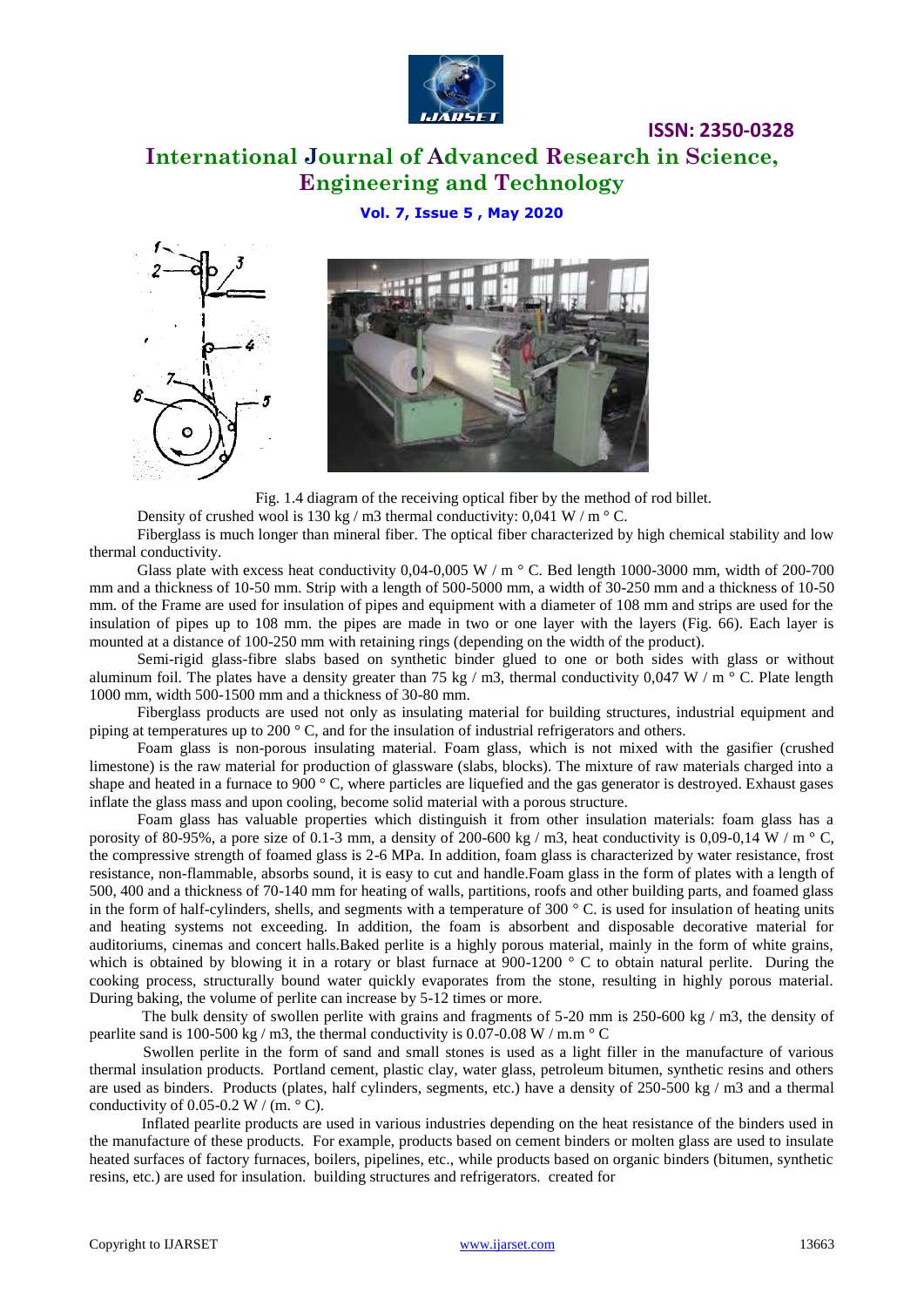

## **ISSN: 2350-0328 International Journal of Advanced Research in Science, Engineering and Technology**

## **Vol. 7, Issue 5 , May 2020**





Fig. 1.4 diagram of the receiving optical fiber by the method of rod billet.

Density of crushed wool is 130 kg / m3 thermal conductivity:  $0.041 \text{ W/m}$  ° C.

Fiberglass is much longer than mineral fiber. The optical fiber characterized by high chemical stability and low thermal conductivity.

Glass plate with excess heat conductivity  $0.04$ -0,005 W / m  $\degree$  C. Bed length 1000-3000 mm, width of 200-700 mm and a thickness of 10-50 mm. Strip with a length of 500-5000 mm, a width of 30-250 mm and a thickness of 10-50 mm. of the Frame are used for insulation of pipes and equipment with a diameter of 108 mm and strips are used for the insulation of pipes up to 108 mm. the pipes are made in two or one layer with the layers (Fig. 66). Each layer is mounted at a distance of 100-250 mm with retaining rings (depending on the width of the product).

Semi-rigid glass-fibre slabs based on synthetic binder glued to one or both sides with glass or without aluminum foil. The plates have a density greater than 75 kg / m3, thermal conductivity 0,047 W / m  $\degree$  C. Plate length 1000 mm, width 500-1500 mm and a thickness of 30-80 mm.

Fiberglass products are used not only as insulating material for building structures, industrial equipment and piping at temperatures up to 200 ° C, and for the insulation of industrial refrigerators and others.

Foam glass is non-porous insulating material. Foam glass, which is not mixed with the gasifier (crushed limestone) is the raw material for production of glassware (slabs, blocks). The mixture of raw materials charged into a shape and heated in a furnace to 900 ° C, where particles are liquefied and the gas generator is destroyed. Exhaust gases inflate the glass mass and upon cooling, become solid material with a porous structure.

Foam glass has valuable properties which distinguish it from other insulation materials: foam glass has a porosity of 80-95%, a pore size of 0.1-3 mm, a density of 200-600 kg / m3, heat conductivity is 0,09-0,14 W / m  $\degree$  C, the compressive strength of foamed glass is 2-6 MPa. In addition, foam glass is characterized by water resistance, frost resistance, non-flammable, absorbs sound, it is easy to cut and handle.Foam glass in the form of plates with a length of 500, 400 and a thickness of 70-140 mm for heating of walls, partitions, roofs and other building parts, and foamed glass in the form of half-cylinders, shells, and segments with a temperature of 300  $\degree$  C. is used for insulation of heating units and heating systems not exceeding. In addition, the foam is absorbent and disposable decorative material for auditoriums, cinemas and concert halls.Baked perlite is a highly porous material, mainly in the form of white grains, which is obtained by blowing it in a rotary or blast furnace at 900-1200  $\degree$  C to obtain natural perlite. During the cooking process, structurally bound water quickly evaporates from the stone, resulting in highly porous material. During baking, the volume of perlite can increase by 5-12 times or more.

The bulk density of swollen perlite with grains and fragments of 5-20 mm is 250-600 kg / m3, the density of pearlite sand is 100-500 kg / m3, the thermal conductivity is 0.07-0.08 W / m.m  $\degree$  C

Swollen perlite in the form of sand and small stones is used as a light filler in the manufacture of various thermal insulation products. Portland cement, plastic clay, water glass, petroleum bitumen, synthetic resins and others are used as binders. Products (plates, half cylinders, segments, etc.) have a density of 250-500 kg / m3 and a thermal conductivity of 0.05-0.2 W / (m.  $\degree$  C).

Inflated pearlite products are used in various industries depending on the heat resistance of the binders used in the manufacture of these products. For example, products based on cement binders or molten glass are used to insulate heated surfaces of factory furnaces, boilers, pipelines, etc., while products based on organic binders (bitumen, synthetic resins, etc.) are used for insulation. building structures and refrigerators. created for